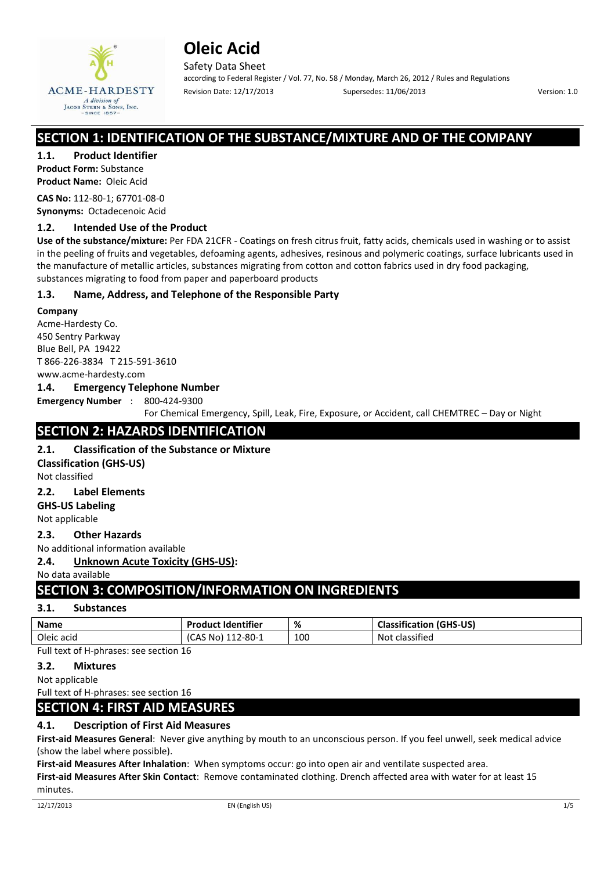

Safety Data Sheet according to Federal Register / Vol. 77, No. 58 / Monday, March 26, 2012 / Rules and Regulations Revision Date: 12/17/2013 Supersedes: 11/06/2013 Version: 1.0

# **SECTION 1: IDENTIFICATION OF THE SUBSTANCE/MIXTURE AND OF THE COMPANY**

**1.1. Product Identifier**

**Product Form:** Substance **Product Name:** Oleic Acid

**CAS No:** 112-80-1; 67701-08-0 **Synonyms:** Octadecenoic Acid

## **1.2. Intended Use of the Product**

**Use of the substance/mixture:** Per FDA 21CFR - Coatings on fresh citrus fruit, fatty acids, chemicals used in washing or to assist in the peeling of fruits and vegetables, defoaming agents, adhesives, resinous and polymeric coatings, surface lubricants used in the manufacture of metallic articles, substances migrating from cotton and cotton fabrics used in dry food packaging, substances migrating to food from paper and paperboard products

## **1.3. Name, Address, and Telephone of the Responsible Party**

### **Company**

Acme-Hardesty Co. 450 Sentry Parkway Blue Bell, PA 19422 T 866-226-3834 T 215-591-3610 www.acme-hardesty.com

### **1.4. Emergency Telephone Number**

**Emergency Number** : 800-424-9300

For Chemical Emergency, Spill, Leak, Fire, Exposure, or Accident, call CHEMTREC – Day or Night

# **SECTION 2: HAZARDS IDENTIFICATION**

### **2.1. Classification of the Substance or Mixture**

**Classification (GHS-US)** 

Not classified

### **2.2. Label Elements**

**GHS-US Labeling** 

Not applicable

### **2.3. Other Hazards**

No additional information available

**2.4. Unknown Acute Toxicity (GHS-US):** 

No data available

# **SECTION 3: COMPOSITION/INFORMATION ON INGREDIENTS**

### **3.1. Substances**

| <b>Name</b> | <b>Product Identifier</b> | %   | <b>Classification (GHS-US)</b> |
|-------------|---------------------------|-----|--------------------------------|
| Oleic acid  | (CAS No) 112-80-1         | 100 | Not classified                 |

Full text of H-phrases: see section 16

### **3.2. Mixtures**

Not applicable

### Full text of H-phrases: see section 16 **SECTION 4: FIRST AID MEASURES**

# **4.1. Description of First Aid Measures**

**First-aid Measures General**: Never give anything by mouth to an unconscious person. If you feel unwell, seek medical advice (show the label where possible).

**First-aid Measures After Inhalation**: When symptoms occur: go into open air and ventilate suspected area.

**First-aid Measures After Skin Contact**: Remove contaminated clothing. Drench affected area with water for at least 15 minutes.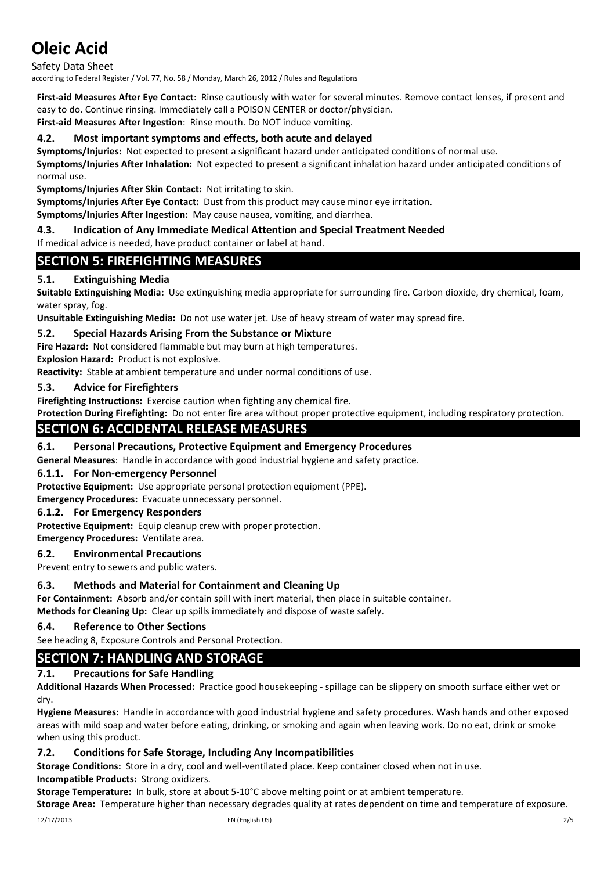Safety Data Sheet according to Federal Register / Vol. 77, No. 58 / Monday, March 26, 2012 / Rules and Regulations

**First-aid Measures After Eye Contact**: Rinse cautiously with water for several minutes. Remove contact lenses, if present and easy to do. Continue rinsing. Immediately call a POISON CENTER or doctor/physician. **First-aid Measures After Ingestion**: Rinse mouth. Do NOT induce vomiting.

# **4.2. Most important symptoms and effects, both acute and delayed**

**Symptoms/Injuries:** Not expected to present a significant hazard under anticipated conditions of normal use. **Symptoms/Injuries After Inhalation:** Not expected to present a significant inhalation hazard under anticipated conditions of normal use.

**Symptoms/Injuries After Skin Contact:** Not irritating to skin.

**Symptoms/Injuries After Eye Contact:** Dust from this product may cause minor eye irritation.

**Symptoms/Injuries After Ingestion:** May cause nausea, vomiting, and diarrhea.

# **4.3. Indication of Any Immediate Medical Attention and Special Treatment Needed**

If medical advice is needed, have product container or label at hand.

# **SECTION 5: FIREFIGHTING MEASURES**

# **5.1. Extinguishing Media**

**Suitable Extinguishing Media:** Use extinguishing media appropriate for surrounding fire. Carbon dioxide, dry chemical, foam, water spray, fog.

**Unsuitable Extinguishing Media:** Do not use water jet. Use of heavy stream of water may spread fire.

## **5.2. Special Hazards Arising From the Substance or Mixture**

**Fire Hazard:** Not considered flammable but may burn at high temperatures.

**Explosion Hazard:** Product is not explosive.

**Reactivity:** Stable at ambient temperature and under normal conditions of use.

## **5.3. Advice for Firefighters**

**Firefighting Instructions:** Exercise caution when fighting any chemical fire.

**Protection During Firefighting:** Do not enter fire area without proper protective equipment, including respiratory protection.

# **SECTION 6: ACCIDENTAL RELEASE MEASURES**

# **6.1. Personal Precautions, Protective Equipment and Emergency Procedures**

**General Measures**: Handle in accordance with good industrial hygiene and safety practice.

### **6.1.1. For Non-emergency Personnel**

**Protective Equipment:** Use appropriate personal protection equipment (PPE).

**Emergency Procedures:** Evacuate unnecessary personnel.

### **6.1.2. For Emergency Responders**

**Protective Equipment:** Equip cleanup crew with proper protection.

**Emergency Procedures:** Ventilate area.

### **6.2. Environmental Precautions**

Prevent entry to sewers and public waters.

### **6.3. Methods and Material for Containment and Cleaning Up**

**For Containment:** Absorb and/or contain spill with inert material, then place in suitable container. **Methods for Cleaning Up:** Clear up spills immediately and dispose of waste safely.

### **6.4. Reference to Other Sections**

See heading 8, Exposure Controls and Personal Protection.

# **SECTION 7: HANDLING AND STORAGE**

# **7.1. Precautions for Safe Handling**

**Additional Hazards When Processed:** Practice good housekeeping - spillage can be slippery on smooth surface either wet or dry.

**Hygiene Measures:** Handle in accordance with good industrial hygiene and safety procedures. Wash hands and other exposed areas with mild soap and water before eating, drinking, or smoking and again when leaving work. Do no eat, drink or smoke when using this product.

### **7.2. Conditions for Safe Storage, Including Any Incompatibilities**

**Storage Conditions:** Store in a dry, cool and well-ventilated place. Keep container closed when not in use.

**Incompatible Products:** Strong oxidizers.

**Storage Temperature:** In bulk, store at about 5-10°C above melting point or at ambient temperature.

**Storage Area:** Temperature higher than necessary degrades quality at rates dependent on time and temperature of exposure.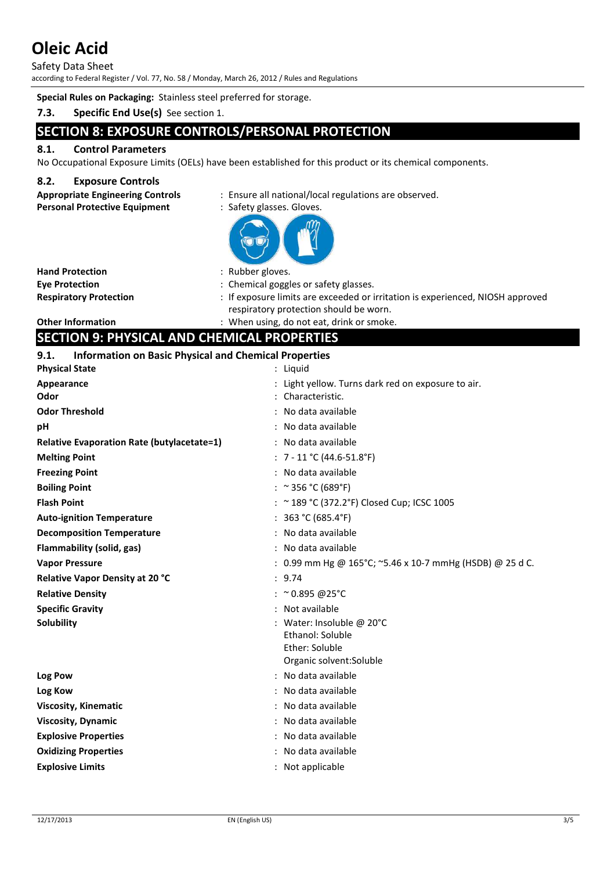Safety Data Sheet according to Federal Register / Vol. 77, No. 58 / Monday, March 26, 2012 / Rules and Regulations

**Special Rules on Packaging:** Stainless steel preferred for storage.

# **7.3. Specific End Use(s)** See section 1.

# **SECTION 8: EXPOSURE CONTROLS/PERSONAL PROTECTION**

# **8.1. Control Parameters**

No Occupational Exposure Limits (OELs) have been established for this product or its chemical components.

### **8.2. Exposure Controls**

**Appropriate Engineering Controls** : Ensure all national/local regulations are observed.

### Personal Protective Equipment : Safety glasses. Gloves.



**Hand Protection** : Rubber gloves.

- 
- **Eye Protection** : Chemical goggles or safety glasses.
- **Respiratory Protection** : If exposure limits are exceeded or irritation is experienced, NIOSH approved respiratory protection should be worn.

**Other Information** : When using, do not eat, drink or smoke.

# **SECTION 9: PHYSICAL AND CHEMICAL PROPERTIES**

## **9.1. Information on Basic Physical and Chemical Properties**

| <b>Physical State</b>                             | : Liguid                                                            |
|---------------------------------------------------|---------------------------------------------------------------------|
| Appearance<br>Odor                                | Light yellow. Turns dark red on exposure to air.<br>Characteristic. |
| <b>Odor Threshold</b>                             | No data available                                                   |
| рH                                                | : No data available                                                 |
| <b>Relative Evaporation Rate (butylacetate=1)</b> | : No data available                                                 |
| <b>Melting Point</b>                              | : $7 - 11$ °C (44.6-51.8°F)                                         |
| <b>Freezing Point</b>                             | : No data available                                                 |
| <b>Boiling Point</b>                              | : ~ 356 °C (689°F)                                                  |
| <b>Flash Point</b>                                | : ~ 189 °C (372.2°F) Closed Cup; ICSC 1005                          |
| <b>Auto-ignition Temperature</b>                  | : $363 °C (685.4 °F)$                                               |
| <b>Decomposition Temperature</b>                  | : No data available                                                 |
| Flammability (solid, gas)                         | : No data available                                                 |
| <b>Vapor Pressure</b>                             | : 0.99 mm Hg @ 165°C; ~5.46 x 10-7 mmHg (HSDB) @ 25 d C.            |
| <b>Relative Vapor Density at 20 °C</b>            | : 9.74                                                              |
| <b>Relative Density</b>                           | : $^{\circ}$ 0.895 @25°C                                            |
| <b>Specific Gravity</b>                           | : Not available                                                     |
| Solubility                                        | : Water: Insoluble @ 20°C                                           |
|                                                   | Ethanol: Soluble                                                    |
|                                                   | Ether: Soluble<br>Organic solvent: Soluble                          |
| Log Pow                                           | No data available                                                   |
| Log Kow                                           | : No data available                                                 |
| <b>Viscosity, Kinematic</b>                       | No data available                                                   |
| <b>Viscosity, Dynamic</b>                         | : No data available                                                 |
| <b>Explosive Properties</b>                       | No data available                                                   |
| <b>Oxidizing Properties</b>                       | : No data available                                                 |
| <b>Explosive Limits</b>                           | : Not applicable                                                    |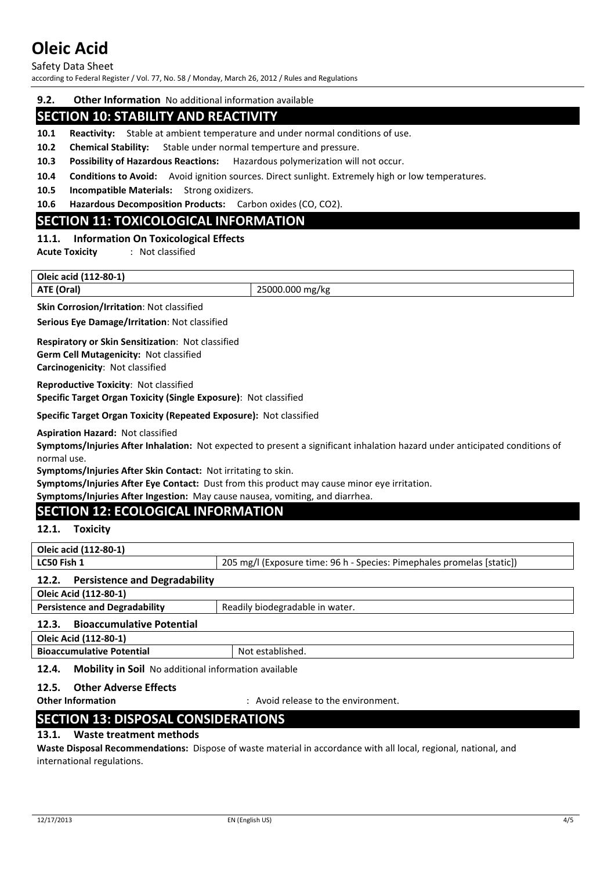Safety Data Sheet

according to Federal Register / Vol. 77, No. 58 / Monday, March 26, 2012 / Rules and Regulations

#### **9.2. Other Information** No additional information available

# **SECTION 10: STABILITY AND REACTIVITY**

- **10.1 Reactivity:** Stable at ambient temperature and under normal conditions of use.
- **10.2 Chemical Stability:** Stable under normal temperture and pressure.
- **10.3 Possibility of Hazardous Reactions:** Hazardous polymerization will not occur.
- **10.4 Conditions to Avoid:** Avoid ignition sources. Direct sunlight. Extremely high or low temperatures.
- **10.5 Incompatible Materials:** Strong oxidizers.

**10.6 Hazardous Decomposition Products:** Carbon oxides (CO, CO2).

# **SECTION 11: TOXICOLOGICAL INFORMATION**

#### **11.1. Information On Toxicological Effects**

**Acute Toxicity** : Not classified

#### **Oleic acid (112-80-1)**

**ATE (Oral)** 25000.000 mg/kg

**Skin Corrosion/Irritation**: Not classified

**Serious Eye Damage/Irritation**: Not classified

#### **Respiratory or Skin Sensitization**: Not classified **Germ Cell Mutagenicity:** Not classified **Carcinogenicity**: Not classified

**Reproductive Toxicity**: Not classified **Specific Target Organ Toxicity (Single Exposure)**: Not classified

**Specific Target Organ Toxicity (Repeated Exposure):** Not classified

**Aspiration Hazard:** Not classified

**Symptoms/Injuries After Inhalation:** Not expected to present a significant inhalation hazard under anticipated conditions of normal use.

**Symptoms/Injuries After Skin Contact:** Not irritating to skin.

**Symptoms/Injuries After Eye Contact:** Dust from this product may cause minor eye irritation.

**Symptoms/Injuries After Ingestion:** May cause nausea, vomiting, and diarrhea.

# **SECTION 12: ECOLOGICAL INFORMATION**

#### **12.1. Toxicity**

**Oleic acid (112-80-1)** 

**LC50 Fish 1** 205 mg/l (Exposure time: 96 h - Species: Pimephales promelas [static])

# **12.2. Persistence and Degradability**

**Oleic Acid (112-80-1)** 

| <b>Persistence and Degradability</b> | Readily biodegradable in water. |
|--------------------------------------|---------------------------------|
|                                      |                                 |

# **12.3. Bioaccumulative Potential**

**Oleic Acid (112-80-1)** 

| <b>Bioaccumulative Potential</b> |  |
|----------------------------------|--|
|                                  |  |

# **12.4. Mobility in Soil** No additional information available

# **12.5. Other Adverse Effects**

**Other Information** : Avoid release to the environment.

# **SECTION 13: DISPOSAL CONSIDERATIONS**

#### **13.1. Waste treatment methods**

**Waste Disposal Recommendations:** Dispose of waste material in accordance with all local, regional, national, and international regulations.

**Not established.**